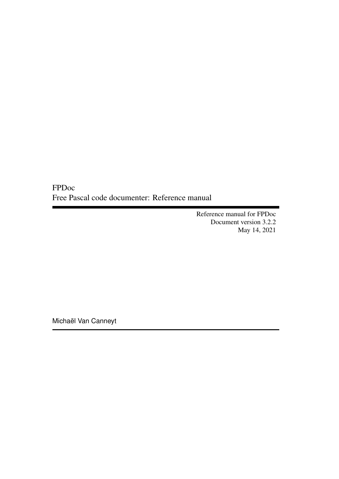FPDoc Free Pascal code documenter: Reference manual

> Reference manual for FPDoc Document version 3.2.2 May 14, 2021

Michaël Van Canneyt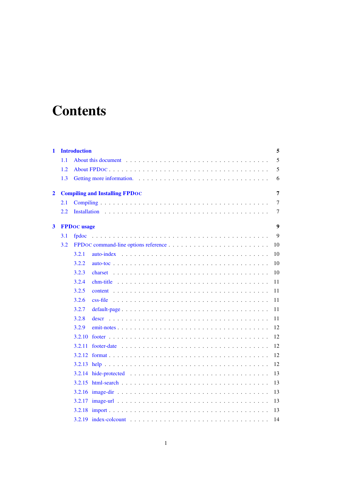# **Contents**

| $\mathbf{1}$   |     | <b>Introduction</b><br>5                   |
|----------------|-----|--------------------------------------------|
|                | 1.1 | 5                                          |
|                | 1.2 | 5                                          |
|                | 1.3 | 6                                          |
| $\overline{2}$ |     | <b>Compiling and Installing FPDOC</b><br>7 |
|                | 2.1 | $\tau$                                     |
|                | 2.2 | 7                                          |
| 3              |     | $\boldsymbol{9}$<br><b>FPDoc</b> usage     |
|                | 3.1 | 9<br>fpdoc                                 |
|                | 3.2 | 10                                         |
|                |     | 3.2.1<br>10                                |
|                |     | 3.2.2<br>10                                |
|                |     | 3.2.3<br>10                                |
|                |     | 3.2.4<br>11                                |
|                |     | 3.2.5<br>11                                |
|                |     | 3.2.6<br>11                                |
|                |     | 3.2.7<br>11                                |
|                |     | 3.2.8<br>11                                |
|                |     | 3.2.9<br>12                                |
|                |     | 12<br>3.2.10                               |
|                |     | 12<br>3.2.11                               |
|                |     | 12                                         |
|                |     | 12                                         |
|                |     | 13                                         |
|                |     | 13                                         |
|                |     | 13                                         |
|                |     | 13                                         |
|                |     | 13                                         |
|                |     | 14                                         |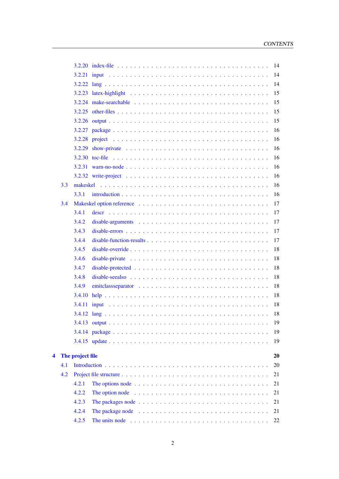|   |     |                                                                                                                 |  |  |  |  |  |  |  | 14 |
|---|-----|-----------------------------------------------------------------------------------------------------------------|--|--|--|--|--|--|--|----|
|   |     |                                                                                                                 |  |  |  |  |  |  |  | 14 |
|   |     |                                                                                                                 |  |  |  |  |  |  |  | 14 |
|   |     |                                                                                                                 |  |  |  |  |  |  |  | 15 |
|   |     |                                                                                                                 |  |  |  |  |  |  |  | 15 |
|   |     |                                                                                                                 |  |  |  |  |  |  |  | 15 |
|   |     |                                                                                                                 |  |  |  |  |  |  |  | 15 |
|   |     |                                                                                                                 |  |  |  |  |  |  |  | 16 |
|   |     |                                                                                                                 |  |  |  |  |  |  |  | 16 |
|   |     |                                                                                                                 |  |  |  |  |  |  |  | 16 |
|   |     |                                                                                                                 |  |  |  |  |  |  |  | 16 |
|   |     |                                                                                                                 |  |  |  |  |  |  |  | 16 |
|   |     |                                                                                                                 |  |  |  |  |  |  |  | 16 |
|   | 3.3 |                                                                                                                 |  |  |  |  |  |  |  | 16 |
|   |     | 3.3.1                                                                                                           |  |  |  |  |  |  |  | 16 |
|   | 3.4 |                                                                                                                 |  |  |  |  |  |  |  | 17 |
|   |     | 3.4.1                                                                                                           |  |  |  |  |  |  |  | 17 |
|   |     | 3.4.2                                                                                                           |  |  |  |  |  |  |  | 17 |
|   |     | 3.4.3                                                                                                           |  |  |  |  |  |  |  | 17 |
|   |     | 3.4.4                                                                                                           |  |  |  |  |  |  |  | 17 |
|   |     | 3.4.5                                                                                                           |  |  |  |  |  |  |  | 18 |
|   |     | 3.4.6                                                                                                           |  |  |  |  |  |  |  | 18 |
|   |     | 3.4.7                                                                                                           |  |  |  |  |  |  |  | 18 |
|   |     | 3.4.8<br>disable-see also $\ldots \ldots \ldots \ldots \ldots \ldots \ldots \ldots \ldots \ldots \ldots \ldots$ |  |  |  |  |  |  |  | 18 |
|   |     | 3.4.9                                                                                                           |  |  |  |  |  |  |  | 18 |
|   |     | 3.4.10                                                                                                          |  |  |  |  |  |  |  | 18 |
|   |     |                                                                                                                 |  |  |  |  |  |  |  | 18 |
|   |     |                                                                                                                 |  |  |  |  |  |  |  | 18 |
|   |     |                                                                                                                 |  |  |  |  |  |  |  | 19 |
|   |     |                                                                                                                 |  |  |  |  |  |  |  | 19 |
|   |     |                                                                                                                 |  |  |  |  |  |  |  | 19 |
|   |     |                                                                                                                 |  |  |  |  |  |  |  |    |
| 4 |     | The project file                                                                                                |  |  |  |  |  |  |  | 20 |
|   | 4.1 |                                                                                                                 |  |  |  |  |  |  |  | 20 |
|   | 4.2 |                                                                                                                 |  |  |  |  |  |  |  | 21 |
|   |     | 4.2.1<br>The options node $\ldots \ldots \ldots \ldots \ldots \ldots \ldots \ldots \ldots \ldots \ldots$        |  |  |  |  |  |  |  | 21 |
|   |     | 4.2.2<br>The option node $\ldots \ldots \ldots \ldots \ldots \ldots \ldots \ldots \ldots \ldots \ldots$         |  |  |  |  |  |  |  | 21 |
|   |     | 4.2.3                                                                                                           |  |  |  |  |  |  |  | 21 |
|   |     | 4.2.4                                                                                                           |  |  |  |  |  |  |  | 21 |
|   |     | 4.2.5<br>The units node $\ldots \ldots \ldots \ldots \ldots \ldots \ldots \ldots \ldots \ldots \ldots \ldots$   |  |  |  |  |  |  |  | 22 |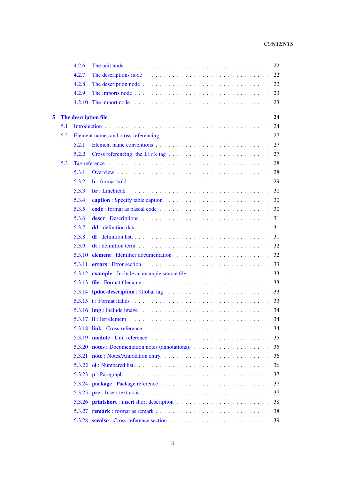|   |     | 4.2.6                |                                                                                                                      | 22 |
|---|-----|----------------------|----------------------------------------------------------------------------------------------------------------------|----|
|   |     | 4.2.7                | The descriptions node $\ldots \ldots \ldots \ldots \ldots \ldots \ldots \ldots \ldots \ldots$                        | 22 |
|   |     | 4.2.8                |                                                                                                                      | 22 |
|   |     | 4.2.9                |                                                                                                                      | 23 |
|   |     | 4.2.10               |                                                                                                                      | 23 |
| 5 |     | The description file |                                                                                                                      | 24 |
|   | 5.1 |                      |                                                                                                                      | 24 |
|   | 5.2 |                      |                                                                                                                      | 27 |
|   |     | 5.2.1                |                                                                                                                      | 27 |
|   |     | 5.2.2                |                                                                                                                      | 27 |
|   | 5.3 |                      |                                                                                                                      | 28 |
|   |     | 5.3.1                |                                                                                                                      | 28 |
|   |     | 5.3.2                |                                                                                                                      | 29 |
|   |     | 5.3.3                | $\mathbf{br}: Linebreak \dots \dots \dots \dots \dots \dots \dots \dots \dots \dots \dots \dots \dots \dots \dots$   | 30 |
|   |     | 5.3.4                |                                                                                                                      | 30 |
|   |     | 5.3.5                |                                                                                                                      | 30 |
|   |     | 5.3.6                |                                                                                                                      | 31 |
|   |     | 5.3.7                |                                                                                                                      | 31 |
|   |     | 5.3.8                |                                                                                                                      | 31 |
|   |     | 5.3.9                |                                                                                                                      | 32 |
|   |     |                      |                                                                                                                      | 32 |
|   |     |                      |                                                                                                                      | 33 |
|   |     |                      |                                                                                                                      | 33 |
|   |     |                      |                                                                                                                      | 33 |
|   |     |                      |                                                                                                                      | 33 |
|   |     |                      |                                                                                                                      | 33 |
|   |     |                      | 5.3.16 $\mathbf{img}$ : include image $\ldots \ldots \ldots \ldots \ldots \ldots \ldots \ldots \ldots \ldots$        | 34 |
|   |     |                      |                                                                                                                      | 34 |
|   |     |                      |                                                                                                                      | 34 |
|   |     |                      |                                                                                                                      | 35 |
|   |     |                      |                                                                                                                      | 35 |
|   |     |                      |                                                                                                                      | 36 |
|   |     |                      |                                                                                                                      | 36 |
|   |     |                      |                                                                                                                      | 37 |
|   |     |                      |                                                                                                                      | 37 |
|   |     |                      | 5.3.25 $pre: Insert text as-is  \dots \dots \dots \dots \dots \dots \dots \dots \dots \dots \dots \dots \dots \dots$ | 37 |
|   |     |                      |                                                                                                                      | 38 |
|   |     |                      |                                                                                                                      | 38 |
|   |     |                      |                                                                                                                      | 39 |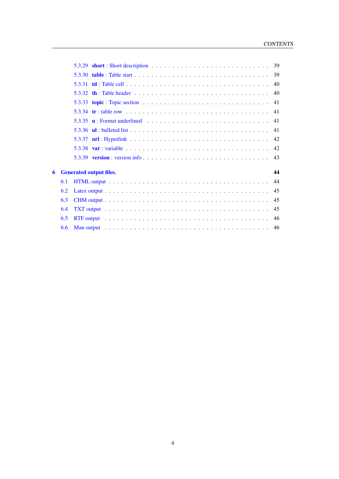|   |     |                                | 39 |
|---|-----|--------------------------------|----|
|   |     |                                |    |
|   |     |                                | 40 |
|   |     |                                |    |
|   |     |                                |    |
|   |     |                                | 41 |
|   |     |                                | 41 |
|   |     |                                | 42 |
|   |     |                                |    |
|   |     |                                |    |
| 6 |     | <b>Generated output files.</b> | 44 |
|   | 6.1 |                                | 44 |
|   | 6.2 |                                |    |
|   | 6.3 |                                |    |
|   | 6.4 |                                | 45 |
|   | 6.5 |                                | 46 |
|   | 6.6 |                                |    |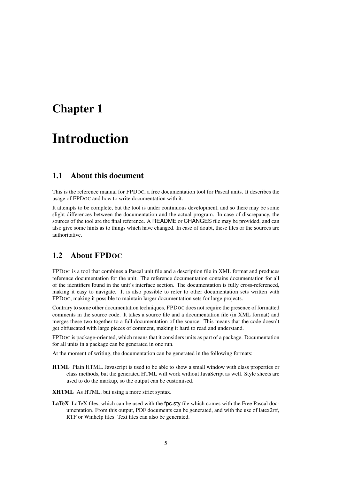# <span id="page-5-0"></span>Chapter 1

# Introduction

# <span id="page-5-1"></span>1.1 About this document

This is the reference manual for FPDOC, a free documentation tool for Pascal units. It describes the usage of FPDOC and how to write documentation with it.

It attempts to be complete, but the tool is under continuous development, and so there may be some slight differences between the documentation and the actual program. In case of discrepancy, the sources of the tool are the final reference. A README or CHANGES file may be provided, and can also give some hints as to things which have changed. In case of doubt, these files or the sources are authoritative.

# <span id="page-5-2"></span>1.2 About FPDOC

FPDOC is a tool that combines a Pascal unit file and a description file in XML format and produces reference documentation for the unit. The reference documentation contains documentation for all of the identifiers found in the unit's interface section. The documentation is fully cross-referenced, making it easy to navigate. It is also possible to refer to other documentation sets written with FPDOC, making it possible to maintain larger documentation sets for large projects.

Contrary to some other documentation techniques, FPDOC does not require the presence of formatted comments in the source code. It takes a source file and a documentation file (in XML format) and merges these two together to a full documentation of the source. This means that the code doesn't get obfuscated with large pieces of comment, making it hard to read and understand.

FPDOC is package-oriented, which means that it considers units as part of a package. Documentation for all units in a package can be generated in one run.

At the moment of writing, the documentation can be generated in the following formats:

HTML Plain HTML. Javascript is used to be able to show a small window with class properties or class methods, but the generated HTML will work without JavaScript as well. Style sheets are used to do the markup, so the output can be customised.

XHTML As HTML, but using a more strict syntax.

LaTeX LaTeX files, which can be used with the fpc.sty file which comes with the Free Pascal documentation. From this output, PDF documents can be generated, and with the use of latex2rtf, RTF or Winhelp files. Text files can also be generated.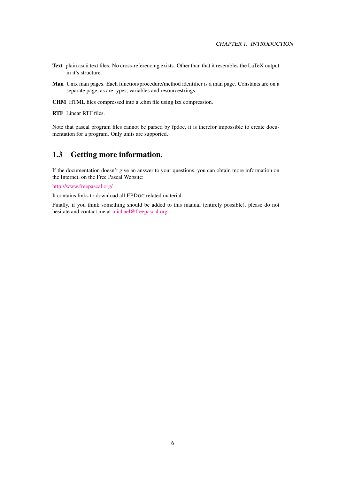- Text plain ascii text files. No cross-referencing exists. Other than that it resembles the LaTeX output in it's structure.
- Man Unix man pages. Each function/procedure/method identifier is a man page. Constants are on a separate page, as are types, variables and resourcestrings.
- CHM HTML files compressed into a .chm file using lzx compression.

RTF Linear RTF files.

Note that pascal program files cannot be parsed by fpdoc, it is therefor impossible to create documentation for a program. Only units are supported.

# <span id="page-6-0"></span>1.3 Getting more information.

If the documentation doesn't give an answer to your questions, you can obtain more information on the Internet, on the Free Pascal Website:

[http://www.freepascal.org/](http://www.freepascal.org)

It contains links to download all FPDOC related material.

Finally, if you think something should be added to this manual (entirely possible), please do not hesitate and contact me at [michael@freepascal.org.](mailto:michael@freepascal.org)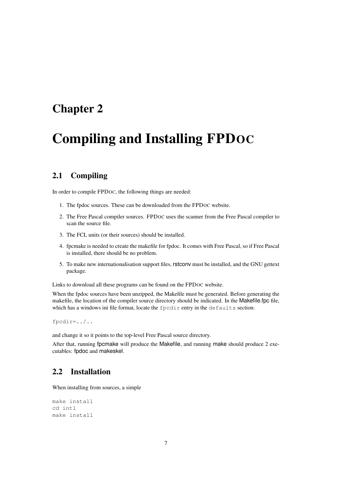# <span id="page-7-0"></span>Chapter 2

# Compiling and Installing FPDOC

# <span id="page-7-1"></span>2.1 Compiling

In order to compile FPDOC, the following things are needed:

- 1. The fpdoc sources. These can be downloaded from the FPDOC website.
- 2. The Free Pascal compiler sources. FPDOC uses the scanner from the Free Pascal compiler to scan the source file.
- 3. The FCL units (or their sources) should be installed.
- 4. fpcmake is needed to create the makefile for fpdoc. It comes with Free Pascal, so if Free Pascal is installed, there should be no problem.
- 5. To make new internationalisation support files, rstconv must be installed, and the GNU gettext package.

Links to download all these programs can be found on the FPDOC website.

When the fpdoc sources have been unzipped, the Makefile must be generated. Before generating the makefile, the location of the compiler source directory should be indicated. In the Makefile.fpc file, which has a windows ini file format, locate the fpcdir entry in the defaults section:

fpcdir=../..

and change it so it points to the top-level Free Pascal source directory.

After that, running fpcmake will produce the Makefile, and running make should produce 2 executables: fpdoc and makeskel.

# <span id="page-7-2"></span>2.2 Installation

When installing from sources, a simple

```
make install
cd intl
make install
```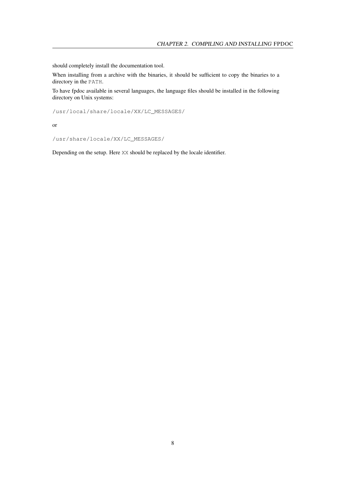should completely install the documentation tool.

When installing from a archive with the binaries, it should be sufficient to copy the binaries to a directory in the PATH.

To have fpdoc available in several languages, the language files should be installed in the following directory on Unix systems:

/usr/local/share/locale/XX/LC\_MESSAGES/

or

/usr/share/locale/XX/LC\_MESSAGES/

Depending on the setup. Here XX should be replaced by the locale identifier.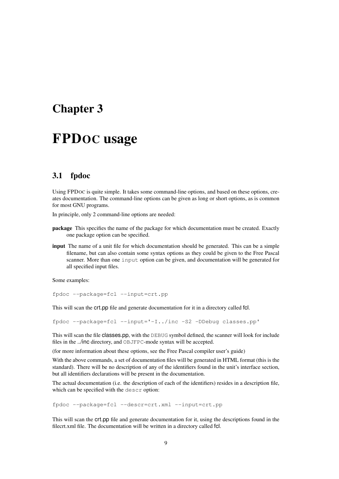# <span id="page-9-0"></span>Chapter 3

# FPDOC usage

# <span id="page-9-1"></span>3.1 fpdoc

Using FPDOC is quite simple. It takes some command-line options, and based on these options, creates documentation. The command-line options can be given as long or short options, as is common for most GNU programs.

In principle, only 2 command-line options are needed:

- package This specifies the name of the package for which documentation must be created. Exactly one package option can be specified.
- input The name of a unit file for which documentation should be generated. This can be a simple filename, but can also contain some syntax options as they could be given to the Free Pascal scanner. More than one input option can be given, and documentation will be generated for all specified input files.

Some examples:

fpdoc --package=fcl --input=crt.pp

This will scan the crt.pp file and generate documentation for it in a directory called fcl.

fpdoc --package=fcl --input='-I../inc -S2 -DDebug classes.pp'

This will scan the file classes.pp, with the DEBUG symbol defined, the scanner will look for include files in the ../inc directory, and OBJFPC-mode syntax will be accepted.

(for more information about these options, see the Free Pascal compiler user's guide)

With the above commands, a set of documentation files will be generated in HTML format (this is the standard). There will be no description of any of the identifiers found in the unit's interface section, but all identifiers declarations will be present in the documentation.

The actual documentation (i.e. the description of each of the identifiers) resides in a description file, which can be specified with the descr option:

fpdoc --package=fcl --descr=crt.xml --input=crt.pp

This will scan the crt.pp file and generate documentation for it, using the descriptions found in the filecrt.xml file. The documentation will be written in a directory called fcl.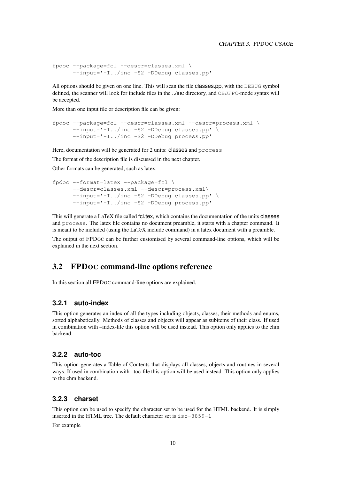```
fpdoc --package=fcl --descr=classes.xml \
      --input='-I../inc -S2 -DDebug classes.pp'
```
All options should be given on one line. This will scan the file classes.pp, with the DEBUG symbol defined, the scanner will look for include files in the ../inc directory, and OBJFPC-mode syntax will be accepted.

More than one input file or description file can be given:

```
fpdoc --package=fcl --descr=classes.xml --descr=process.xml \
      --input='-I../inc -S2 -DDebug classes.pp' \
     --input='-I../inc -S2 -DDebug process.pp'
```
Here, documentation will be generated for 2 units: classes and process

The format of the description file is discussed in the next chapter.

Other formats can be generated, such as latex:

```
fpdoc --format=latex --package=fcl \
      --descr=classes.xml --descr=process.xml\
      --input='-I../inc -S2 -DDebug classes.pp' \
      --input='-I../inc -S2 -DDebug process.pp'
```
This will generate a LaTeX file called fcl.tex, which contains the documentation of the units classes and process. The latex file contains no document preamble, it starts with a chapter command. It is meant to be included (using the LaTeX include command) in a latex document with a preamble.

The output of FPDOC can be further customised by several command-line options, which will be explained in the next section.

# <span id="page-10-0"></span>3.2 FPDOC command-line options reference

In this section all FPDOC command-line options are explained.

### <span id="page-10-1"></span>**3.2.1 auto-index**

This option generates an index of all the types including objects, classes, their methods and enums, sorted alphabetically. Methods of classes and objects will appear as subitems of their class. If used in combination with –index-file this option will be used instead. This option only applies to the chm backend.

### <span id="page-10-2"></span>**3.2.2 auto-toc**

This option generates a Table of Contents that displays all classes, objects and routines in several ways. If used in combination with –toc-file this option will be used instead. This option only applies to the chm backend.

# <span id="page-10-3"></span>**3.2.3 charset**

This option can be used to specify the character set to be used for the HTML backend. It is simply inserted in the HTML tree. The default character set is iso-8859-1

For example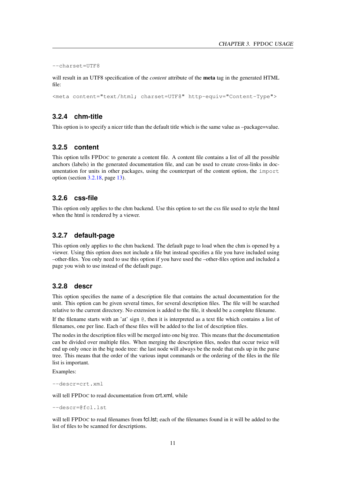```
--charset=UTF8
```
will result in an UTF8 specification of the *content* attribute of the meta tag in the generated HTML file:

<meta content="text/html; charset=UTF8" http-equiv="Content-Type">

#### <span id="page-11-0"></span>**3.2.4 chm-title**

This option is to specify a nicer title than the default title which is the same value as –package=value.

# <span id="page-11-1"></span>**3.2.5 content**

This option tells FPDOC to generate a content file. A content file contains a list of all the possible anchors (labels) in the generated documentation file, and can be used to create cross-links in documentation for units in other packages, using the counterpart of the content option, the import option (section [3.2.18,](#page-13-4) page [13\)](#page-13-4).

# <span id="page-11-2"></span>**3.2.6 css-file**

This option only applies to the chm backend. Use this option to set the css file used to style the html when the html is rendered by a viewer.

# <span id="page-11-3"></span>**3.2.7 default-page**

This option only applies to the chm backend. The default page to load when the chm is opened by a viewer. Using this option does not include a file but instead specifies a file you have included using –other-files. You only need to use this option if you have used the –other-files option and included a page you wish to use instead of the default page.

# <span id="page-11-4"></span>**3.2.8 descr**

This option specifies the name of a description file that contains the actual documentation for the unit. This option can be given several times, for several description files. The file will be searched relative to the current directory. No extension is added to the file, it should be a complete filename.

If the filename starts with an 'at' sign  $\mathcal{C}$ , then it is interpreted as a text file which contains a list of filenames, one per line. Each of these files will be added to the list of description files.

The nodes in the description files will be merged into one big tree. This means that the documentation can be divided over multiple files. When merging the description files, nodes that occur twice will end up only once in the big node tree: the last node will always be the node that ends up in the parse tree. This means that the order of the various input commands or the ordering of the files in the file list is important.

Examples:

--descr=crt.xml

will tell FPDOC to read documentation from  $crt.xml$ , while

--descr=@fcl.lst

will tell FPDOC to read filenames from fcl. lst; each of the filenames found in it will be added to the list of files to be scanned for descriptions.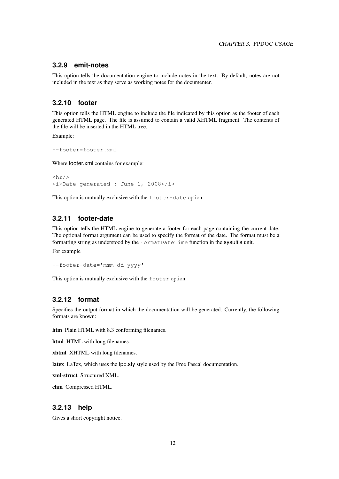#### <span id="page-12-0"></span>**3.2.9 emit-notes**

This option tells the documentation engine to include notes in the text. By default, notes are not included in the text as they serve as working notes for the documenter.

# <span id="page-12-1"></span>**3.2.10 footer**

This option tells the HTML engine to include the file indicated by this option as the footer of each generated HTML page. The file is assumed to contain a valid XHTML fragment. The contents of the file will be inserted in the HTML tree.

Example:

```
--footer=footer.xml
```
Where footer.xml contains for example:

```
\frac{1}{2}<i>Date generated : June 1, 2008</i>
```
This option is mutually exclusive with the footer-date option.

# <span id="page-12-2"></span>**3.2.11 footer-date**

This option tells the HTML engine to generate a footer for each page containing the current date. The optional format argument can be used to specify the format of the date. The format must be a formatting string as understood by the FormatDateTime function in the sysutils unit.

For example

--footer-date='mmm dd yyyy'

This option is mutually exclusive with the footer option.

# <span id="page-12-3"></span>**3.2.12 format**

Specifies the output format in which the documentation will be generated. Currently, the following formats are known:

htm Plain HTML with 8.3 conforming filenames.

html HTML with long filenames.

xhtml XHTML with long filenames.

latex LaTex, which uses the fpc.sty style used by the Free Pascal documentation.

xml-struct Structured XML.

chm Compressed HTML.

## <span id="page-12-4"></span>**3.2.13 help**

Gives a short copyright notice.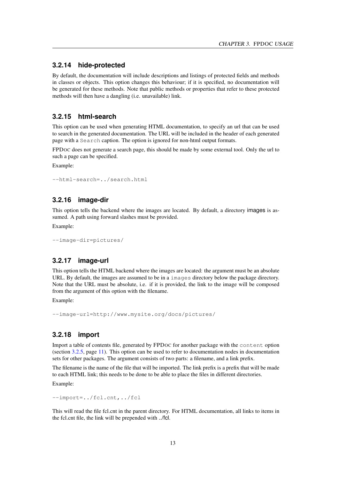## <span id="page-13-0"></span>**3.2.14 hide-protected**

By default, the documentation will include descriptions and listings of protected fields and methods in classes or objects. This option changes this behaviour; if it is specified, no documentation will be generated for these methods. Note that public methods or properties that refer to these protected methods will then have a dangling (i.e. unavailable) link.

### <span id="page-13-1"></span>**3.2.15 html-search**

This option can be used when generating HTML documentation, to specify an url that can be used to search in the generated documentation. The URL will be included in the header of each generated page with a Search caption. The option is ignored for non-html output formats.

FPDOC does not generate a search page, this should be made by some external tool. Only the url to such a page can be specified.

Example:

--html-search=../search.html

# <span id="page-13-2"></span>**3.2.16 image-dir**

This option tells the backend where the images are located. By default, a directory images is assumed. A path using forward slashes must be provided.

Example:

```
--image-dir=pictures/
```
#### <span id="page-13-3"></span>**3.2.17 image-url**

This option tells the HTML backend where the images are located: the argument must be an absolute URL. By default, the images are assumed to be in a images directory below the package directory. Note that the URL must be absolute, i.e. if it is provided, the link to the image will be composed from the argument of this option with the filename.

Example:

```
--image-url=http://www.mysite.org/docs/pictures/
```
# <span id="page-13-4"></span>**3.2.18 import**

Import a table of contents file, generated by FPDOC for another package with the content option (section [3.2.5,](#page-11-1) page [11\)](#page-11-1). This option can be used to refer to documentation nodes in documentation sets for other packages. The argument consists of two parts: a filename, and a link prefix.

The filename is the name of the file that will be imported. The link prefix is a prefix that will be made to each HTML link; this needs to be done to be able to place the files in different directories.

Example:

--import=../fcl.cnt,../fcl

This will read the file fcl.cnt in the parent directory. For HTML documentation, all links to items in the fcl.cnt file, the link will be prepended with ../fcl.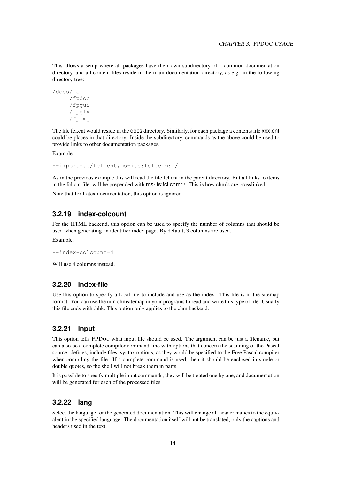This allows a setup where all packages have their own subdirectory of a common documentation directory, and all content files reside in the main documentation directory, as e.g. in the following directory tree:

```
/docs/fcl
     /fpdoc
     /fpgui
     /fpgfx
     /fpimg
```
The file fcl.cnt would reside in the docs directory. Similarly, for each package a contents file xxx.cnt could be places in that directory. Inside the subdirectory, commands as the above could be used to provide links to other documentation packages.

Example:

--import=../fcl.cnt,ms-its:fcl.chm::/

As in the previous example this will read the file fcl.cnt in the parent directory. But all links to items in the fcl.cnt file, will be prepended with ms-its:fcl.chm::/. This is how chm's are crosslinked.

Note that for Latex documentation, this option is ignored.

# <span id="page-14-0"></span>**3.2.19 index-colcount**

For the HTML backend, this option can be used to specify the number of columns that should be used when generating an identifier index page. By default, 3 columns are used.

Example:

--index-colcount=4

Will use 4 columns instead.

## <span id="page-14-1"></span>**3.2.20 index-file**

Use this option to specify a local file to include and use as the index. This file is in the sitemap format. You can use the unit chmsitemap in your programs to read and write this type of file. Usually this file ends with .hhk. This option only applies to the chm backend.

# <span id="page-14-2"></span>**3.2.21 input**

This option tells FPDOC what input file should be used. The argument can be just a filename, but can also be a complete compiler command-line with options that concern the scanning of the Pascal source: defines, include files, syntax options, as they would be specified to the Free Pascal compiler when compiling the file. If a complete command is used, then it should be enclosed in single or double quotes, so the shell will not break them in parts.

It is possible to specify multiple input commands; they will be treated one by one, and documentation will be generated for each of the processed files.

# <span id="page-14-3"></span>**3.2.22 lang**

Select the language for the generated documentation. This will change all header names to the equivalent in the specified language. The documentation itself will not be translated, only the captions and headers used in the text.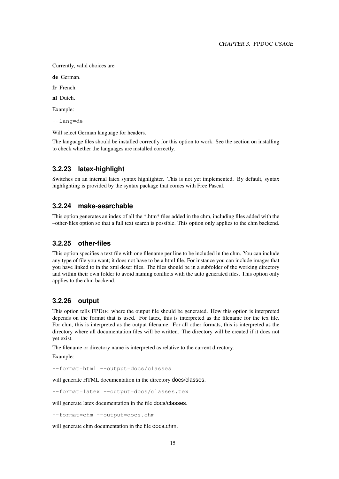Currently, valid choices are

de German.

fr French.

nl Dutch.

Example:

--lang=de

Will select German language for headers.

The language files should be installed correctly for this option to work. See the section on installing to check whether the languages are installed correctly.

# <span id="page-15-0"></span>**3.2.23 latex-highlight**

Switches on an internal latex syntax highlighter. This is not yet implemented. By default, syntax highlighting is provided by the syntax package that comes with Free Pascal.

#### <span id="page-15-1"></span>**3.2.24 make-searchable**

This option generates an index of all the \*.htm\* files added in the chm, including files added with the –other-files option so that a full text search is possible. This option only applies to the chm backend.

#### <span id="page-15-2"></span>**3.2.25 other-files**

This option specifies a text file with one filename per line to be included in the chm. You can include any type of file you want; it does not have to be a html file. For instance you can include images that you have linked to in the xml descr files. The files should be in a subfolder of the working directory and within their own folder to avoid naming conflicts with the auto generated files. This option only applies to the chm backend.

## <span id="page-15-3"></span>**3.2.26 output**

This option tells FPDOC where the output file should be generated. How this option is interpreted depends on the format that is used. For latex, this is interpreted as the filename for the tex file. For chm, this is interpreted as the output filename. For all other formats, this is interpreted as the directory where all documentation files will be written. The directory will be created if it does not yet exist.

The filename or directory name is interpreted as relative to the current directory.

Example:

--format=html --output=docs/classes

will generate HTML documentation in the directory **docs/classes**.

--format=latex --output=docs/classes.tex

will generate latex documentation in the file docs/classes.

--format=chm --output=docs.chm

will generate chm documentation in the file docs.chm.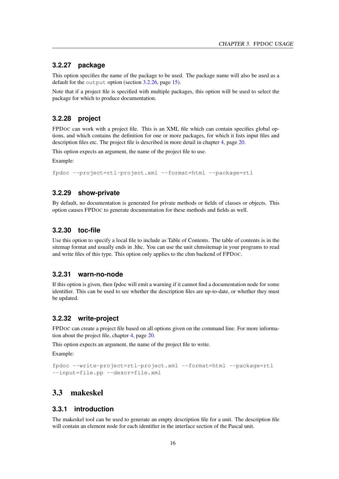## <span id="page-16-0"></span>**3.2.27 package**

This option specifies the name of the package to be used. The package name will also be used as a default for the output option (section [3.2.26,](#page-15-3) page [15\)](#page-15-3).

Note that if a project file is specified with multiple packages, this option will be used to select the package for which to produce documentation.

# <span id="page-16-1"></span>**3.2.28 project**

FPDOC can work with a project file. This is an XML file which can contain specifies global options, and which contains the definition for one or more packages, for which it lists input files and description files etc. The project file is described in more detail in chapter [4,](#page-20-0) page [20.](#page-20-0)

This option expects an argument, the name of the project file to use.

Example:

```
fpdoc --project=rtl-project.xml --format=html --package=rtl
```
### <span id="page-16-2"></span>**3.2.29 show-private**

By default, no documentation is generated for private methods or fields of classes or objects. This option causes FPDOC to generate documentation for these methods and fields as well.

#### <span id="page-16-3"></span>**3.2.30 toc-file**

Use this option to specify a local file to include as Table of Contents. The table of contents is in the sitemap format and usually ends in .hhc. You can use the unit chmsitemap in your programs to read and write files of this type. This option only applies to the chm backend of FPDOC.

# <span id="page-16-4"></span>**3.2.31 warn-no-node**

If this option is given, then fpdoc will emit a warning if it cannot find a documentation node for some identifier. This can be used to see whether the description files are up-to-date, or whether they must be updated.

#### <span id="page-16-5"></span>**3.2.32 write-project**

FPDOC can create a project file based on all options given on the command line. For more information about the project file, chapter [4,](#page-20-0) page [20.](#page-20-0)

This option expects an argument, the name of the project file to write.

Example:

```
fpdoc --write-project=rtl-project.xml --format=html --package=rtl
--input=file.pp --descr=file.xml
```
# <span id="page-16-6"></span>3.3 makeskel

# <span id="page-16-7"></span>**3.3.1 introduction**

The makeskel tool can be used to generate an empty description file for a unit. The description file will contain an element node for each identifier in the interface section of the Pascal unit.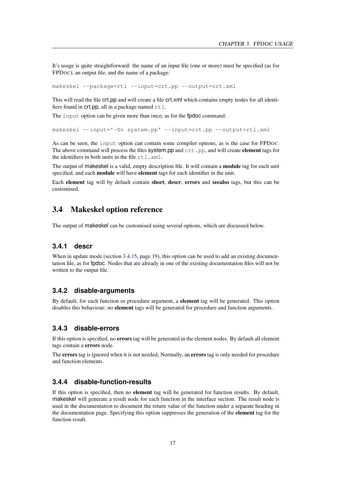It's usage is quite straightforward: the name of an input file (one or more) must be specified (as for FPDOC), an output file, and the name of a package:

makeskel --package=rtl --input=crt.pp --output=crt.xml

This will read the file crt.pp and will create a file crt.xml which contains empty nodes for all identifiers found in crt.pp, all in a package named  $rtl$ .

The input option can be given more than once, as for the **fpdoc** command:

makeskel --input='-Sn system.pp' --input=crt.pp --output=rtl.xml

As can be seen, the input option can contain some compiler options, as is the case for FPDOC. The above command will process the files system.pp and  $\text{crt}$ .pp, and will create element tags for the identifiers in both units in the file  $rtl$ . xml.

The output of makeskel is a valid, empty description file. It will contain a **module** tag for each unit specified, and each module will have element tags for each identifier in the unit.

Each element tag will by default contain short, descr, errors and seealso tags, but this can be customised.

# <span id="page-17-0"></span>3.4 Makeskel option reference

The output of makeskel can be customised using several options, which are discussed below.

# <span id="page-17-1"></span>**3.4.1 descr**

When in update mode (section [3.4.15,](#page-19-2) page [19\)](#page-19-2), this option can be used to add an existing documentation file, as for fpdoc. Nodes that are already in one of the existing documentation files will not be written to the output file.

#### <span id="page-17-2"></span>**3.4.2 disable-arguments**

By default, for each function or procedure argument, a element tag will be generated. This option disables this behaviour: no element tags will be generated for procedure and function arguments.

## <span id="page-17-3"></span>**3.4.3 disable-errors**

If this option is specified, no errors tag will be generated in the element nodes. By default all element tags contain a errors node.

The **errors** tag is ignored when it is not needed; Normally, an **errors** tag is only needed for procedure and function elements.

# <span id="page-17-4"></span>**3.4.4 disable-function-results**

If this option is specified, then no element tag will be generated for function results. By default, makeskel will generate a result node for each function in the interface section. The result node is used in the documentation to document the return value of the function under a separate heading in the documentation page. Specifying this option suppresses the generation of the element tag for the function result.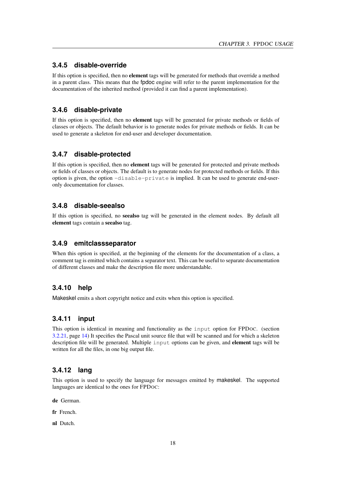# <span id="page-18-0"></span>**3.4.5 disable-override**

If this option is specified, then no element tags will be generated for methods that override a method in a parent class. This means that the fpdoc engine will refer to the parent implementation for the documentation of the inherited method (provided it can find a parent implementation).

# <span id="page-18-1"></span>**3.4.6 disable-private**

If this option is specified, then no element tags will be generated for private methods or fields of classes or objects. The default behavior is to generate nodes for private methods or fields. It can be used to generate a skeleton for end-user and developer documentation.

# <span id="page-18-2"></span>**3.4.7 disable-protected**

If this option is specified, then no element tags will be generated for protected and private methods or fields of classes or objects. The default is to generate nodes for protected methods or fields. If this option is given, the option -disable-private is implied. It can be used to generate end-useronly documentation for classes.

# <span id="page-18-3"></span>**3.4.8 disable-seealso**

If this option is specified, no seealso tag will be generated in the element nodes. By default all element tags contain a seealso tag.

# <span id="page-18-4"></span>**3.4.9 emitclassseparator**

When this option is specified, at the beginning of the elements for the documentation of a class, a comment tag is emitted which contains a separator text. This can be useful to separate documentation of different classes and make the description file more understandable.

# <span id="page-18-5"></span>**3.4.10 help**

Makeskel emits a short copyright notice and exits when this option is specified.

# <span id="page-18-6"></span>**3.4.11 input**

This option is identical in meaning and functionality as the input option for FPDOC. (section [3.2.21,](#page-14-2) page [14\)](#page-14-2) It specifies the Pascal unit source file that will be scanned and for which a skeleton description file will be generated. Multiple input options can be given, and element tags will be written for all the files, in one big output file.

# <span id="page-18-7"></span>**3.4.12 lang**

This option is used to specify the language for messages emitted by makeskel. The supported languages are identical to the ones for FPDOC:

de German.

fr French.

nl Dutch.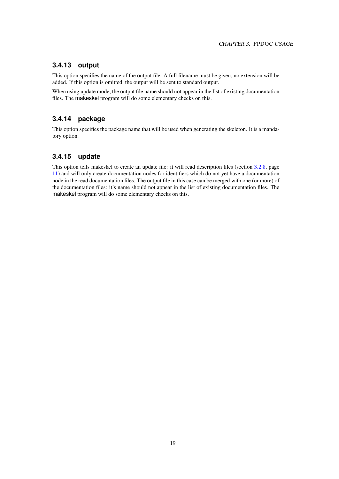# <span id="page-19-0"></span>**3.4.13 output**

This option specifies the name of the output file. A full filename must be given, no extension will be added. If this option is omitted, the output will be sent to standard output.

When using update mode, the output file name should not appear in the list of existing documentation files. The makeskel program will do some elementary checks on this.

# <span id="page-19-1"></span>**3.4.14 package**

This option specifies the package name that will be used when generating the skeleton. It is a mandatory option.

# <span id="page-19-2"></span>**3.4.15 update**

This option tells makeskel to create an update file: it will read description files (section [3.2.8,](#page-11-4) page [11\)](#page-11-4) and will only create documentation nodes for identifiers which do not yet have a documentation node in the read documentation files. The output file in this case can be merged with one (or more) of the documentation files: it's name should not appear in the list of existing documentation files. The makeskel program will do some elementary checks on this.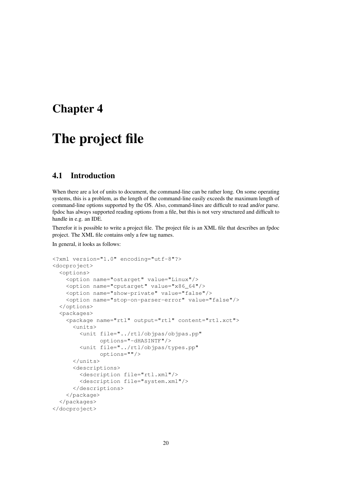# <span id="page-20-0"></span>Chapter 4

# The project file

# <span id="page-20-1"></span>4.1 Introduction

When there are a lot of units to document, the command-line can be rather long. On some operating systems, this is a problem, as the length of the command-line easily exceeds the maximum length of command-line options supported by the OS. Also, command-lines are difficult to read and/or parse. fpdoc has always supported reading options from a file, but this is not very structured and difficult to handle in e.g. an IDE.

Therefor it is possible to write a project file. The project file is an XML file that describes an fpdoc project. The XML file contains only a few tag names.

In general, it looks as follows:

```
<?xml version="1.0" encoding="utf-8"?>
<docproject>
 <options>
    <option name="ostarget" value="Linux"/>
    <option name="cputarget" value="x86_64"/>
    <option name="show-private" value="false"/>
    <option name="stop-on-parser-error" value="false"/>
  </options>
  <packages>
    <package name="rtl" output="rtl" content="rtl.xct">
      <units>
        <unit file="../rtl/objpas/objpas.pp"
              options="-dHASINTF"/>
        <unit file="../rtl/objpas/types.pp"
              options=""/>
      </units>
      <descriptions>
        <description file="rtl.xml"/>
        <description file="system.xml"/>
      </descriptions>
    </package>
  </packages>
</docproject>
```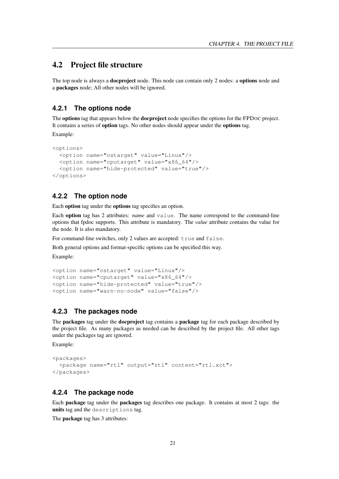# <span id="page-21-0"></span>4.2 Project file structure

The top node is always a **docproject** node. This node can contain only 2 nodes: a **options** node and a packages node; All other nodes will be ignored.

#### <span id="page-21-1"></span>**4.2.1 The options node**

The **options** tag that appears below the **docproject** node specifies the options for the FPDOC project. It contains a series of option tags. No other nodes should appear under the options tag.

Example:

```
<options>
 <option name="ostarget" value="Linux"/>
 <option name="cputarget" value="x86_64"/>
  <option name="hide-protected" value="true"/>
</options>
```
## <span id="page-21-2"></span>**4.2.2 The option node**

Each option tag under the options tag specifies an option.

Each option tag has 2 attributes: *name* and value. The name correspond to the command-line options that fpdoc supports. This attribute is mandatory. The *value* attribute contains the value for the node. It is also mandatory.

For command-line switches, only 2 values are accepted: true and false.

Both general options and format-specific options can be specified this way.

Example:

```
<option name="ostarget" value="Linux"/>
<option name="cputarget" value="x86_64"/>
<option name="hide-protected" value="true"/>
<option name="warn-no-node" value="false"/>
```
# <span id="page-21-3"></span>**4.2.3 The packages node**

The **packages** tag under the **docproject** tag contains a **package** tag for each package described by the project file. As many packages as needed can be described by the project file. All other tags under the packages tag are ignored.

Example:

```
<packages>
  <package name="rtl" output="rtl" content="rtl.xct">
</packages>
```
#### <span id="page-21-4"></span>**4.2.4 The package node**

Each package tag under the packages tag describes one package. It contains at most 2 tags: the units tag and the descriptions tag.

The package tag has 3 attributes: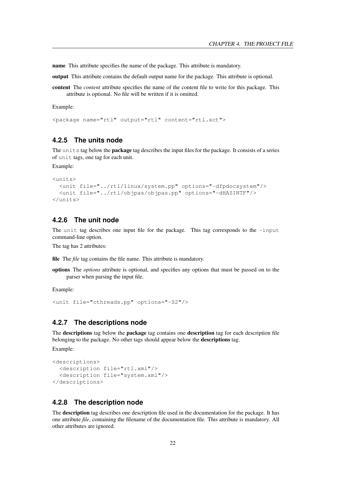name This attribute specifies the name of the package. This attribute is mandatory.

output This attribute contains the default output name for the package. This attribute is optional.

content The *content* attribute specifies the name of the content file to write for this package. This attribute is optional. No file will be written if it is omitted.

Example:

<package name="rtl" output="rtl" content="rtl.xct">

# <span id="page-22-0"></span>**4.2.5 The units node**

The units tag below the **package** tag describes the input files for the package. It consists of a series of unit tags, one tag for each unit.

Example:

```
\langleunits>
  <unit file="../rtl/linux/system.pp" options="-dfpdocsystem"/>
  <unit file="../rtl/objpas/objpas.pp" options="-dHASINTF"/>
</units>
```
## <span id="page-22-1"></span>**4.2.6 The unit node**

The unit tag describes one input file for the package. This tag corresponds to the  $-i$ nput command-line option.

The tag has 2 attributes:

file The *file* tag contains the file name. This attribute is mandatory.

options The *options* attribute is optional, and specifies any options that must be passed on to the parser when parsing the input file.

Example:

```
<unit file="cthreads.pp" options="-S2"/>
```
# <span id="page-22-2"></span>**4.2.7 The descriptions node**

The descriptions tag below the package tag contains one description tag for each description file belonging to the package. No other tags should appear below the descriptions tag. Example:

```
<descriptions>
 <description file="rtl.xml"/>
  <description file="system.xml"/>
</descriptions>
```
# <span id="page-22-3"></span>**4.2.8 The description node**

The description tag describes one description file used in the documentation for the package. It has one attribute *file*, containing the filename of the documentation file. This attribute is mandatory. All other attributes are ignored.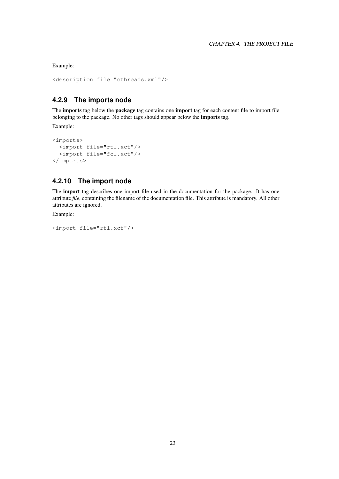Example:

```
<description file="cthreads.xml"/>
```
# <span id="page-23-0"></span>**4.2.9 The imports node**

The imports tag below the package tag contains one import tag for each content file to import file belonging to the package. No other tags should appear below the imports tag.

Example:

```
<imports>
 <import file="rtl.xct"/>
 <import file="fcl.xct"/>
</imports>
```
# <span id="page-23-1"></span>**4.2.10 The import node**

The import tag describes one import file used in the documentation for the package. It has one attribute *file*, containing the filename of the documentation file. This attribute is mandatory. All other attributes are ignored.

Example:

```
<import file="rtl.xct"/>
```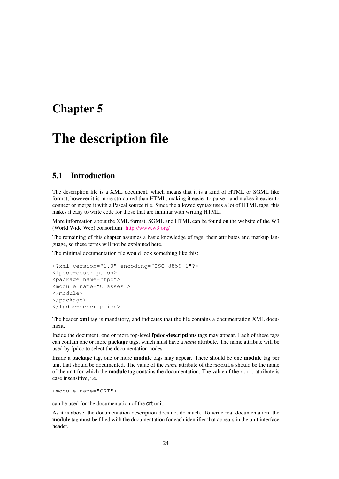# <span id="page-24-0"></span>Chapter 5

# The description file

# <span id="page-24-1"></span>5.1 Introduction

The description file is a XML document, which means that it is a kind of HTML or SGML like format, however it is more structured than HTML, making it easier to parse - and makes it easier to connect or merge it with a Pascal source file. Since the allowed syntax uses a lot of HTML tags, this makes it easy to write code for those that are familiar with writing HTML.

More information about the XML format, SGML and HTML can be found on the website of the W3 (World Wide Web) consortium: [http://www.w3.org/](http://www.w3.org)

The remaining of this chapter assumes a basic knowledge of tags, their attributes and markup language, so these terms will not be explained here.

The minimal documentation file would look something like this:

```
<?xml version="1.0" encoding="ISO-8859-1"?>
<fpdoc-description>
<package name="fpc">
<module name="Classes">
</module>
</package>
</fpdoc-description>
```
The header xml tag is mandatory, and indicates that the file contains a documentation XML document.

Inside the document, one or more top-level **fpdoc-descriptions** tags may appear. Each of these tags can contain one or more package tags, which must have a *name* attribute. The name attribute will be used by fpdoc to select the documentation nodes.

Inside a package tag, one or more module tags may appear. There should be one module tag per unit that should be documented. The value of the *name* attribute of the module should be the name of the unit for which the module tag contains the documentation. The value of the name attribute is case insensitive, i.e.

<module name="CRT">

can be used for the documentation of the crt unit.

As it is above, the documentation description does not do much. To write real documentation, the module tag must be filled with the documentation for each identifier that appears in the unit interface header.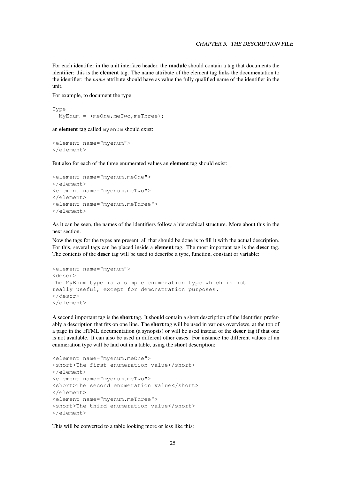For each identifier in the unit interface header, the module should contain a tag that documents the identifier: this is the element tag. The name attribute of the element tag links the documentation to the identifier: the *name* attribute should have as value the fully qualified name of the identifier in the unit.

For example, to document the type

```
Type
 MyEnum = (meOne, meTwo, meThree);
```
an element tag called myenum should exist:

```
<element name="myenum">
</element>
```
But also for each of the three enumerated values an element tag should exist:

```
<element name="myenum.meOne">
</element>
<element name="myenum.meTwo">
</element>
<element name="myenum.meThree">
</element>
```
As it can be seen, the names of the identifiers follow a hierarchical structure. More about this in the next section.

Now the tags for the types are present, all that should be done is to fill it with the actual description. For this, several tags can be placed inside a **element** tag. The most important tag is the **descr** tag. The contents of the descr tag will be used to describe a type, function, constant or variable:

```
<element name="myenum">
<descr>
The MyEnum type is a simple enumeration type which is not
really useful, except for demonstration purposes.
</descr>
</element>
```
A second important tag is the short tag. It should contain a short description of the identifier, preferably a description that fits on one line. The short tag will be used in various overviews, at the top of a page in the HTML documentation (a synopsis) or will be used instead of the descr tag if that one is not available. It can also be used in different other cases: For instance the different values of an enumeration type will be laid out in a table, using the short description:

```
<element name="myenum.meOne">
<short>The first enumeration value</short>
\langle/element>
<element name="myenum.meTwo">
<short>The second enumeration value</short>
</element>
<element name="myenum.meThree">
<short>The third enumeration value</short>
</element>
```
This will be converted to a table looking more or less like this: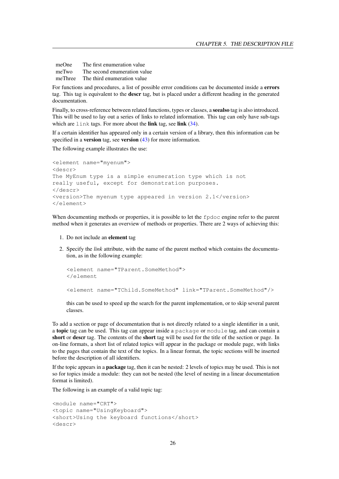meOne The first enumeration value meTwo The second enumeration value meThree The third enumeration value

For functions and procedures, a list of possible error conditions can be documented inside a errors tag. This tag is equivalent to the descr tag, but is placed under a different heading in the generated documentation.

Finally, to cross-reference between related functions, types or classes, a seealso tag is also introduced. This will be used to lay out a series of links to related information. This tag can only have sub-tags which are link tags. For more about the link tag, see link [\(34\)](#page-34-2).

If a certain identifier has appeared only in a certain version of a library, then this information can be specified in a **version** tag, see **version** [\(43\)](#page-43-0) for more information.

The following example illustrates the use:

```
<element name="myenum">
<descr>
The MyEnum type is a simple enumeration type which is not
really useful, except for demonstration purposes.
</descr>
<version>The myenum type appeared in version 2.1</version>
</element>
```
When documenting methods or properties, it is possible to let the  $f$  $p$  $q$  $q$  $q$  engine refer to the parent method when it generates an overview of methods or properties. There are 2 ways of achieving this:

- 1. Do not include an element tag
- 2. Specify the *link* attribute, with the name of the parent method which contains the documentation, as in the following example:

```
<element name="TParent.SomeMethod">
</element
<element name="TChild.SomeMethod" link="TParent.SomeMethod"/>
```
this can be used to speed up the search for the parent implementation, or to skip several parent classes.

To add a section or page of documentation that is not directly related to a single identifier in a unit, a topic tag can be used. This tag can appear inside a package or module tag, and can contain a short or descr tag. The contents of the short tag will be used for the title of the section or page. In on-line formats, a short list of related topics will appear in the package or module page, with links to the pages that contain the text of the topics. In a linear format, the topic sections will be inserted before the description of all identifiers.

If the topic appears in a package tag, then it can be nested: 2 levels of topics may be used. This is not so for topics inside a module: they can not be nested (the level of nesting in a linear documentation format is limited).

The following is an example of a valid topic tag:

```
<module name="CRT">
<topic name="UsingKeyboard">
<short>Using the keyboard functions</short>
<descr>
```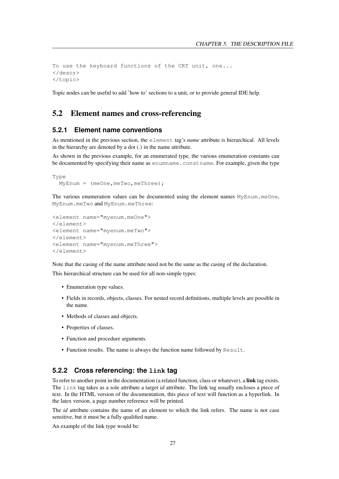```
To use the keyboard functions of the CRT unit, one...
</descr>
</topic>
```
Topic nodes can be useful to add 'how to' sections to a unit, or to provide general IDE help.

# <span id="page-27-0"></span>5.2 Element names and cross-referencing

#### <span id="page-27-1"></span>**5.2.1 Element name conventions**

As mentioned in the previous section, the element tag's *name* attribute is hierarchical. All levels in the hierarchy are denoted by a dot (.) in the name attribute.

As shown in the previous example, for an enumerated type, the various enumeration constants can be documented by specifying their name as enumname.constname. For example, given the type

```
Type
 MyEnum = (meOne, meTwo, meThree);
```
The various enumeration values can be documented using the element names MyEnum.meOne, MyEnum.meTwo and MyEnum.meThree:

```
<element name="myenum.meOne">
\langle/element>
<element name="myenum.meTwo">
</element>
<element name="myenum.meThree">
</element>
```
Note that the casing of the name attribute need not be the same as the casing of the declaration.

This hierarchical structure can be used for all non-simple types:

- Enumeration type values.
- Fields in records, objects, classes. For nested record definitions, multiple levels are possible in the name.
- Methods of classes and objects.
- Properties of classes.
- Function and procedure arguments.
- Function results. The name is always the function name followed by Result.

# <span id="page-27-2"></span>**5.2.2 Cross referencing: the link tag**

To refer to another point in the documentation (a related function, class or whatever), a link tag exists. The link tag takes as a sole attribute a target *id* attribute. The link tag usually encloses a piece of text. In the HTML version of the documentation, this piece of text will function as a hyperlink. In the latex version, a page number reference will be printed.

The *id* attribute contains the name of an element to which the link refers. The name is not case sensitive, but it must be a fully qualified name.

An example of the link type would be: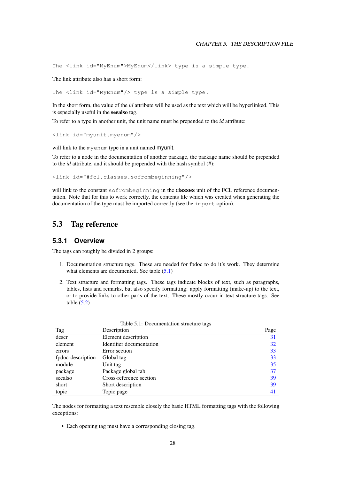The <link id="MyEnum">MyEnum</link> type is a simple type.

The link attribute also has a short form:

The <link id="MyEnum"/> type is a simple type.

In the short form, the value of the *id* attribute will be used as the text which will be hyperlinked. This is especially useful in the seealso tag.

To refer to a type in another unit, the unit name must be prepended to the *id* attribute:

```
<link id="myunit.myenum"/>
```
will link to the myenum type in a unit named myunit.

To refer to a node in the documentation of another package, the package name should be prepended to the *id* attribute, and it should be prepended with the hash symbol (#):

<link id="#fcl.classes.sofrombeginning"/>

will link to the constant sofrombeginning in the classes unit of the FCL reference documentation. Note that for this to work correctly, the contents file which was created when generating the documentation of the type must be imported correctly (see the import option).

# <span id="page-28-0"></span>5.3 Tag reference

# <span id="page-28-1"></span>**5.3.1 Overview**

The tags can roughly be divided in 2 groups:

- 1. Documentation structure tags. These are needed for fpdoc to do it's work. They determine what elements are documented. See table  $(5.1)$
- 2. Text structure and formatting tags. These tags indicate blocks of text, such as paragraphs, tables, lists and remarks, but also specify formatting: apply formatting (make-up) to the text, or to provide links to other parts of the text. These mostly occur in text structure tags. See table  $(5.2)$

| Tag               | Description              | Page |
|-------------------|--------------------------|------|
| descr             | Element description      | 31   |
| element           | Identifier documentation | 32   |
| errors            | Error section            | 33   |
| fpdoc-description | Global tag               | 33   |
| module            | Unit tag                 | 35   |
| package           | Package global tab       | 37   |
| seealso           | Cross-reference section  | 39   |
| short             | Short description        | 39   |
| topic             | Topic page               | 41   |

<span id="page-28-2"></span>Table 5.1: Documentation structure tags

The nodes for formatting a text resemble closely the basic HTML formatting tags with the following exceptions:

• Each opening tag must have a corresponding closing tag.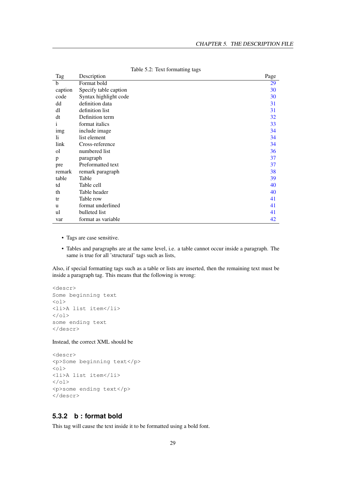| Tag     | Description           | Page |
|---------|-----------------------|------|
| b       | Format bold           | 29   |
| caption | Specify table caption | 30   |
| code    | Syntax highlight code | 30   |
| dd      | definition data       | 31   |
| dl      | definition list       | 31   |
| dt      | Definition term       | 32   |
| 1       | format italics        | 33   |
| img     | include image         | 34   |
| li.     | list element          | 34   |
| link    | Cross-reference       | 34   |
| οl      | numbered list         | 36   |
| p       | paragraph             | 37   |
| pre     | Preformatted text     | 37   |
| remark  | remark paragraph      | 38   |
| table   | Table                 | 39   |
| td      | Table cell            | 40   |
| th      | Table header          | 40   |
| tr      | Table row             | 41   |
| u       | format underlined     | 41   |
| ul      | bulleted list         | 41   |
| var     | format as variable    | 42   |

<span id="page-29-1"></span>Table 5.2: Text formatting tags

- Tags are case sensitive.
- Tables and paragraphs are at the same level, i.e. a table cannot occur inside a paragraph. The same is true for all 'structural' tags such as lists,

Also, if special formatting tags such as a table or lists are inserted, then the remaining text must be inside a paragraph tag. This means that the following is wrong:

```
<descr>
Some beginning text
<01><li>A list item</li>
\langle/ol>
some ending text
</descr>
```
#### Instead, the correct XML should be

```
<descr>
<p>Some beginning text</p>
<ol><li>A list item</li>
\langle/ol>
<p>some ending text</p>
</descr>
```
# <span id="page-29-0"></span>**5.3.2 b : format bold**

This tag will cause the text inside it to be formatted using a bold font.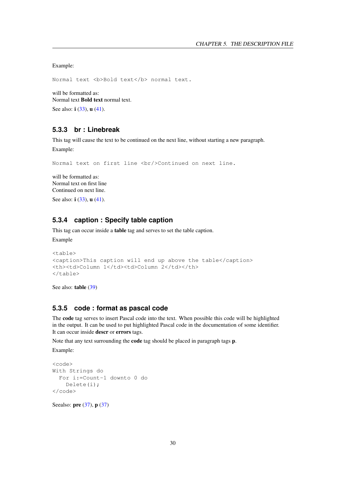Example:

Normal text <b>Bold text</b> normal text.

will be formatted as: Normal text Bold text normal text. See also: **i** [\(33\)](#page-33-4), **u** [\(41\)](#page-41-2).

# <span id="page-30-0"></span>**5.3.3 br : Linebreak**

This tag will cause the text to be continued on the next line, without starting a new paragraph. Example:

Normal text on first line <br/> <br/>Continued on next line.

will be formatted as: Normal text on first line Continued on next line.

See also: **i** [\(33\)](#page-33-4), **u** [\(41\)](#page-41-2).

# <span id="page-30-1"></span>**5.3.4 caption : Specify table caption**

This tag can occur inside a table tag and serves to set the table caption.

Example

```
<table>
<caption>This caption will end up above the table</caption>
<th><td>Column 1</td><td>Column 2</td></th>
</table>
```
See also: table [\(39\)](#page-39-2)

# <span id="page-30-2"></span>**5.3.5 code : format as pascal code**

The code tag serves to insert Pascal code into the text. When possible this code will be highlighted in the output. It can be used to put highlighted Pascal code in the documentation of some identifier. It can occur inside descr or errors tags.

Note that any text surrounding the code tag should be placed in paragraph tags p.

Example:

```
<code></code>
With Strings do
  For i:=Count-1 downto 0 do
    Delete(i);
\langle/code>
```
Seealso: **pre** [\(37\)](#page-37-0), **p** (37)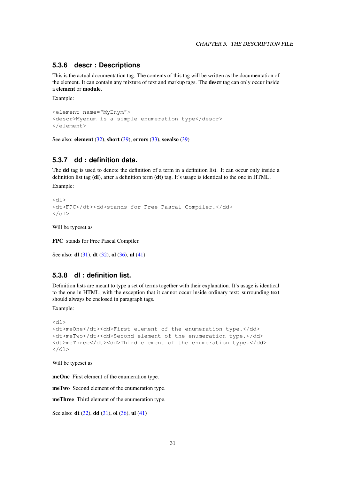## <span id="page-31-0"></span>**5.3.6 descr : Descriptions**

This is the actual documentation tag. The contents of this tag will be written as the documentation of the element. It can contain any mixture of text and markup tags. The **descr** tag can only occur inside a element or module.

Example:

```
<element name="MyEnym">
<descr>Myenum is a simple enumeration type</descr>
</element>
```
See also: element [\(32\)](#page-32-1), short [\(39\)](#page-39-0), errors [\(33\)](#page-33-0), seealso (39)

# <span id="page-31-1"></span>**5.3.7 dd : definition data.**

The dd tag is used to denote the definition of a term in a definition list. It can occur only inside a definition list tag (dl), after a definition term (dt) tag. It's usage is identical to the one in HTML.

Example:

```
<dl><dt>FPC</dt><dd>stands for Free Pascal Compiler.</dd>
\langle dl>
```
Will be typeset as

FPC stands for Free Pascal Compiler.

```
See also: dl(31), dt(32), ol(36), ul(41)
```
# <span id="page-31-2"></span>**5.3.8 dl : definition list.**

Definition lists are meant to type a set of terms together with their explanation. It's usage is identical to the one in HTML, with the exception that it cannot occur inside ordinary text: surrounding text should always be enclosed in paragraph tags.

Example:

```
<dl>
<dt>meOne</dt><dd>First element of the enumeration type.</dd>
<dt>meTwo</dt><dd>Second element of the enumeration type.</dd>
<dt>meThree</dt><dd>Third element of the enumeration type.</dd>
\langle dl>
```
Will be typeset as

meOne First element of the enumeration type.

meTwo Second element of the enumeration type.

meThree Third element of the enumeration type.

See also: **dt** [\(32\)](#page-32-0), **dd** [\(31\)](#page-31-1), **ol** [\(36\)](#page-36-1), **ul** [\(41\)](#page-41-3)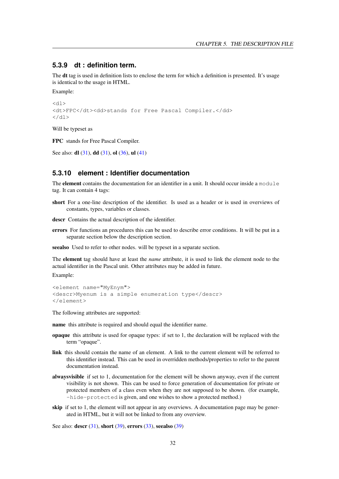#### <span id="page-32-0"></span>**5.3.9 dt : definition term.**

The dt tag is used in definition lists to enclose the term for which a definition is presented. It's usage is identical to the usage in HTML.

Example:

```
<dl><dt>FPC</dt><dd>stands for Free Pascal Compiler.</dd>
\langledl>
```
Will be typeset as

FPC stands for Free Pascal Compiler.

See also: **dl** [\(31\)](#page-31-1), **dd** (31), **ol** [\(36\)](#page-36-1), **ul** [\(41\)](#page-41-3)

# <span id="page-32-1"></span>**5.3.10 element : Identifier documentation**

The **element** contains the documentation for an identifier in a unit. It should occur inside a module tag. It can contain 4 tags:

short For a one-line description of the identifier. Is used as a header or is used in overviews of constants, types, variables or classes.

descr Contains the actual description of the identifier.

errors For functions an procedures this can be used to describe error conditions. It will be put in a separate section below the description section.

seealso Used to refer to other nodes. will be typeset in a separate section.

The element tag should have at least the *name* attribute, it is used to link the element node to the actual identifier in the Pascal unit. Other attributes may be added in future.

Example:

```
<element name="MyEnym">
<descr>Myenum is a simple enumeration type</descr>
</element>
```
The following attributes are supported:

name this attribute is required and should equal the identifier name.

- opaque this attribute is used for opaque types: if set to 1, the declaration will be replaced with the term "opaque".
- link this should contain the name of an element. A link to the current element will be referred to this identifier instead. This can be used in overridden methods/properties to refer to the parent documentation instead.
- alwaysvisible if set to 1, documentation for the element will be shown anyway, even if the current visibility is not shown. This can be used to force generation of documentation for private or protected members of a class even when they are not supposed to be shown. (for example, -hide-protected is given, and one wishes to show a protected method.)
- skip if set to 1, the element will not appear in any overviews. A documentation page may be generated in HTML, but it will not be linked to from any overview.

See also: **descr** [\(31\)](#page-31-0), **short** [\(39\)](#page-39-0), **errors** [\(33\)](#page-33-0), **seealso** (39)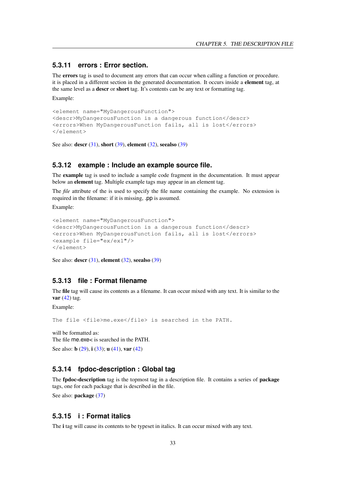## <span id="page-33-0"></span>**5.3.11 errors : Error section.**

The errors tag is used to document any errors that can occur when calling a function or procedure. it is placed in a different section in the generated documentation. It occurs inside a element tag, at the same level as a descr or short tag. It's contents can be any text or formatting tag.

Example:

```
<element name="MyDangerousFunction">
<descr>MyDangerousFunction is a dangerous function</descr>
<errors>When MyDangerousFunction fails, all is lost</errors>
</element>
```
See also: **descr** [\(31\)](#page-31-0), **short** [\(39\)](#page-39-0), **element** [\(32\)](#page-32-1), **seealso** (39)

#### <span id="page-33-1"></span>**5.3.12 example : Include an example source file.**

The example tag is used to include a sample code fragment in the documentation. It must appear below an element tag. Multiple example tags may appear in an element tag.

The *file* attribute of the is used to specify the file name containing the example. No extension is required in the filename: if it is missing, .pp is assumed.

Example:

```
<element name="MyDangerousFunction">
<descr>MyDangerousFunction is a dangerous function</descr>
<errors>When MyDangerousFunction fails, all is lost</errors>
<example file="ex/ex1"/>
</element>
```
See also: descr  $(31)$ , element  $(32)$ , seealso  $(39)$ 

#### <span id="page-33-2"></span>**5.3.13 file : Format filename**

The file tag will cause its contents as a filename. It can occur mixed with any text. It is similar to the var  $(42)$  tag.

Example:

The file <file>me.exe</file> is searched in the PATH.

will be formatted as: The file me.exe< is searched in the PATH. See also: **b** [\(29\)](#page-29-0), **i** [\(33\)](#page-33-4); **u** [\(41\)](#page-41-2), var [\(42\)](#page-42-1)

## <span id="page-33-3"></span>**5.3.14 fpdoc-description : Global tag**

The **fpdoc-description** tag is the topmost tag in a description file. It contains a series of **package** tags, one for each package that is described in the file.

See also: **package** [\(37\)](#page-37-1)

# <span id="page-33-4"></span>**5.3.15 i : Format italics**

The i tag will cause its contents to be typeset in italics. It can occur mixed with any text.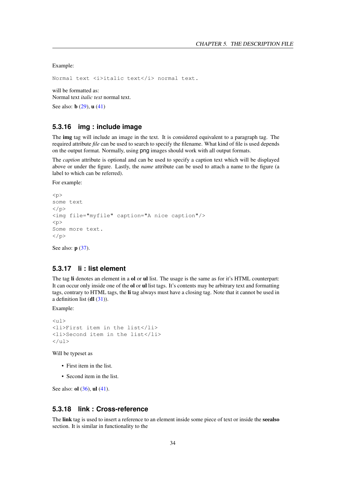Example:

Normal text <i>italic text</i> normal text.

will be formatted as: Normal text *italic text* normal text.

See also: **b** [\(29\)](#page-29-0), **u** [\(41\)](#page-41-2)

# <span id="page-34-0"></span>**5.3.16 img : include image**

The img tag will include an image in the text. It is considered equivalent to a paragraph tag. The required attribute *file* can be used to search to specify the filename. What kind of file is used depends on the output format. Normally, using png images should work with all output formats.

The *caption* attribute is optional and can be used to specify a caption text which will be displayed above or under the figure. Lastly, the *name* attribute can be used to attach a name to the figure (a label to which can be referred).

For example:

```
psome text
\langle/p>
<img file="myfile" caption="A nice caption"/>
\langle n \rangleSome more text.
\langle/p>
```
See also: **p** [\(37\)](#page-37-0).

#### <span id="page-34-1"></span>**5.3.17 li : list element**

The tag li denotes an element in a ol or ul list. The usage is the same as for it's HTML counterpart: It can occur only inside one of the **ol** or **ul** list tags. It's contents may be arbitrary text and formatting tags, contrary to HTML tags, the li tag always must have a closing tag. Note that it cannot be used in a definition list  $$ 

Example:

```
<sub>ul</sub></sub>
<li>First item in the list</li>
<li>Second item in the list</li>
\langleul>
```
Will be typeset as

- First item in the list.
- Second item in the list.

See also: **ol** [\(36\)](#page-36-1), **ul** [\(41\)](#page-41-3).

# <span id="page-34-2"></span>**5.3.18 link : Cross-reference**

The link tag is used to insert a reference to an element inside some piece of text or inside the seealso section. It is similar in functionality to the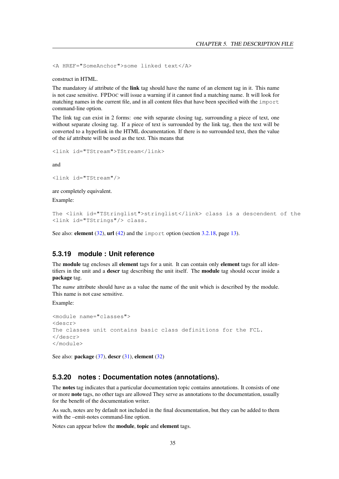<A HREF="SomeAnchor">some linked text</A>

construct in HTML.

The mandatory *id* attribute of the link tag should have the name of an element tag in it. This name is not case sensitive. FPDOC will issue a warning if it cannot find a matching name. It will look for matching names in the current file, and in all content files that have been specified with the import command-line option.

The link tag can exist in 2 forms: one with separate closing tag, surrounding a piece of text, one without separate closing tag. If a piece of text is surrounded by the link tag, then the text will be converted to a hyperlink in the HTML documentation. If there is no surrounded text, then the value of the *id* attribute will be used as the text. This means that

<link id="TStream">TStream</link>

and

```
<link id="TStream"/>
```
are completely equivalent.

Example:

```
The <link id="TStringlist">stringlist</link> class is a descendent of the
<link id="TStrings"/> class.
```
See also: element [\(32\)](#page-32-1), url [\(42\)](#page-42-0) and the import option (section [3.2.18,](#page-13-4) page [13\)](#page-13-4).

#### <span id="page-35-0"></span>**5.3.19 module : Unit reference**

The module tag encloses all element tags for a unit. It can contain only element tags for all identifiers in the unit and a descr tag describing the unit itself. The module tag should occur inside a package tag.

The *name* attribute should have as a value the name of the unit which is described by the module. This name is not case sensitive.

Example:

```
<module name="classes">
<descr>
The classes unit contains basic class definitions for the FCL.
</descr>
</module>
```
See also: package  $(37)$ , descr  $(31)$ , element  $(32)$ 

#### <span id="page-35-1"></span>**5.3.20 notes : Documentation notes (annotations).**

The notes tag indicates that a particular documentation topic contains annotations. It consists of one or more note tags, no other tags are allowed They serve as annotations to the documentation, usually for the benefit of the documentation writer.

As such, notes are by default not included in the final documentation, but they can be added to them with the –emit-notes command-line option.

Notes can appear below the module, topic and element tags.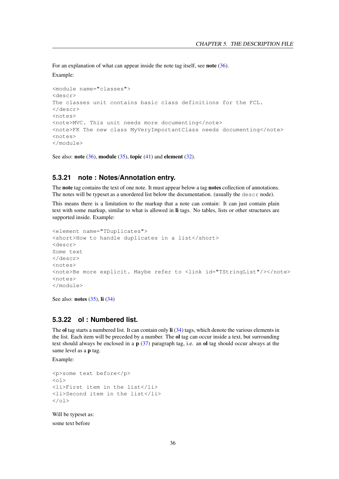For an explanation of what can appear inside the note tag itself, see **note** [\(36\)](#page-36-0). Example:

```
<module name="classes">
<descr>
The classes unit contains basic class definitions for the FCL.
</descr>
<notes>
<note>MVC. This unit needs more documenting</note>
<note>FK The new class MyVeryImportantClass needs documenting</note>
\langlenotes\rangle</module>
```
See also: note  $(36)$ , module  $(35)$ , topic  $(41)$  and element  $(32)$ .

#### <span id="page-36-0"></span>**5.3.21 note : Notes/Annotation entry.**

The **note** tag contains the text of one note. It must appear below a tag **notes** collection of annotations. The notes will be typeset as a unordered list below the documentation. (usually the  $\text{descr}$  node).

This means there is a limitation to the markup that a note can contain: It can just contain plain text with some markup, similar to what is allowed in li tags. No tables, lists or other structures are supported inside. Example:

```
<element name="TDuplicates">
<short>How to handle duplicates in a list</short>
<descr>
Some text
</descr>
<notes>
<note>Be more explicit. Maybe refer to <link id="TStringList"/></note>
<notes>
</module>
```
See also: **notes** [\(35\)](#page-35-1), **li** [\(34\)](#page-34-1)

#### <span id="page-36-1"></span>**5.3.22 ol : Numbered list.**

The ol tag starts a numbered list. It can contain only  $\mathbf{li}$  [\(34\)](#page-34-1) tags, which denote the various elements in the list. Each item will be preceded by a number. The ol tag can occur inside a text, but surrounding text should always be enclosed in a  $p(37)$  $p(37)$  paragraph tag, i.e. an ol tag should occur always at the same level as a **p** tag.

Example:

```
<p>some text before</p>
\langle 0 \rangle<li>First item in the list</li>
<li>Second item in the list</li>
\langle/ol>
```
Will be typeset as:

some text before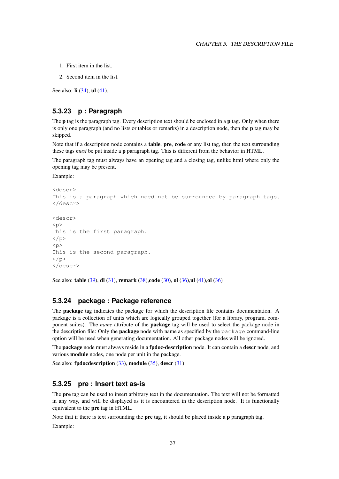- 1. First item in the list.
- 2. Second item in the list.

See also: **li** [\(34\)](#page-34-1), **ul** [\(41\)](#page-41-3).

# <span id="page-37-0"></span>**5.3.23 p : Paragraph**

The **p** tag is the paragraph tag. Every description text should be enclosed in a **p** tag. Only when there is only one paragraph (and no lists or tables or remarks) in a description node, then the p tag may be skipped.

Note that if a description node contains a **table, pre, code** or any list tag, then the text surrounding these tags *must* be put inside a p paragraph tag. This is different from the behavior in HTML.

The paragraph tag must always have an opening tag and a closing tag, unlike html where only the opening tag may be present.

Example:

```
<descr>
This is a paragraph which need not be surrounded by paragraph tags.
</descr>
<descr>
< p >This is the first paragraph.
\langle/p>
< p >This is the second paragraph.
\langle/p>
</descr>
```
See also: **table** [\(39\)](#page-39-2), **dl** [\(31\)](#page-31-2), **remark** [\(38\)](#page-38-1), **code** [\(30\)](#page-30-2), **ol** [\(36\)](#page-36-1), **ul** [\(41\)](#page-41-3), **ol** (36)

### <span id="page-37-1"></span>**5.3.24 package : Package reference**

The package tag indicates the package for which the description file contains documentation. A package is a collection of units which are logically grouped together (for a library, program, component suites). The *name* attribute of the package tag will be used to select the package node in the description file: Only the **package** node with name as specified by the  $\text{package}$  command-line option will be used when generating documentation. All other package nodes will be ignored.

The **package** node must always reside in a **fpdoc-description** node. It can contain a **descr** node, and various module nodes, one node per unit in the package.

See also: fpdocdescription  $(33)$ , module  $(35)$ , descr $(31)$ 

#### <span id="page-37-2"></span>**5.3.25 pre : Insert text as-is**

The pre tag can be used to insert arbitrary text in the documentation. The text will not be formatted in any way, and will be displayed as it is encountered in the description node. It is functionally equivalent to the pre tag in HTML.

Note that if there is text surrounding the **pre** tag, it should be placed inside a **p** paragraph tag.

Example: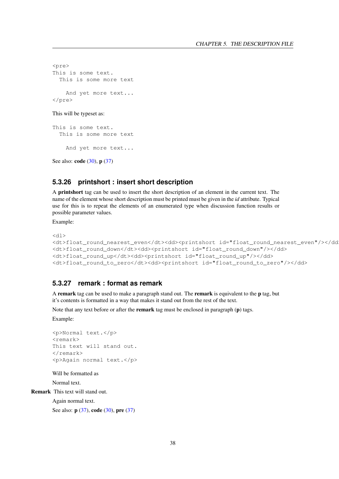```
<pre>
This is some text.
 This is some more text
    And yet more text...
</pre>
```
This will be typeset as:

```
This is some text.
 This is some more text
    And yet more text...
```
See also: **code** [\(30\)](#page-30-2), **p** [\(37\)](#page-37-0)

# <span id="page-38-0"></span>**5.3.26 printshort : insert short description**

A printshort tag can be used to insert the short description of an element in the current text. The name of the element whose short description must be printed must be given in the *id* attribute. Typical use for this is to repeat the elements of an enumerated type when discussion function results or possible parameter values.

Example:

```
<dl><dt>float_round_nearest_even</dt><dd><printshort id="float_round_nearest_even"/></dd>
<dt>float_round_down</dt><dd><printshort id="float_round_down"/></dd>
<dt>float_round_up</dt><dd><printshort id="float_round_up"/></dd>
<dt>float_round_to_zero</dt><dd><printshort id="float_round_to_zero"/></dd>
```
# <span id="page-38-1"></span>**5.3.27 remark : format as remark**

A remark tag can be used to make a paragraph stand out. The remark is equivalent to the p tag, but it's contents is formatted in a way that makes it stand out from the rest of the text.

Note that any text before or after the **remark** tag must be enclosed in paragraph (**p**) tags.

Example:

```
<p>Normal text.</p>
<remark>
This text will stand out.
</remark>
<p>Again normal text.</p>
```
Will be formatted as Normal text.

Remark This text will stand out.

Again normal text.

See also: **p** [\(37\)](#page-37-2), **code** [\(30\)](#page-30-2), **pre** (37)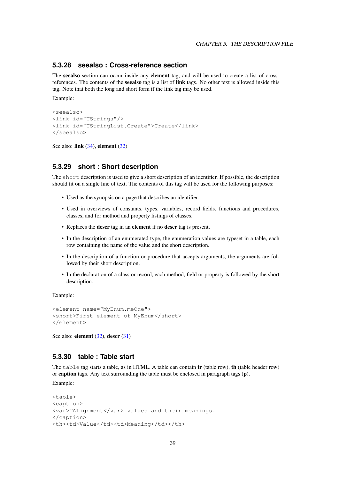#### <span id="page-39-0"></span>**5.3.28 seealso : Cross-reference section**

The seealso section can occur inside any element tag, and will be used to create a list of crossreferences. The contents of the seealso tag is a list of link tags. No other text is allowed inside this tag. Note that both the long and short form if the link tag may be used.

Example:

```
<seealso>
<link id="TStrings"/>
<link id="TStringList.Create">Create</link>
</seealso>
```
See also: link  $(34)$ , element  $(32)$ 

#### <span id="page-39-1"></span>**5.3.29 short : Short description**

The short description is used to give a short description of an identifier. If possible, the description should fit on a single line of text. The contents of this tag will be used for the following purposes:

- Used as the synopsis on a page that describes an identifier.
- Used in overviews of constants, types, variables, record fields, functions and procedures, classes, and for method and property listings of classes.
- Replaces the descr tag in an element if no descr tag is present.
- In the description of an enumerated type, the enumeration values are typeset in a table, each row containing the name of the value and the short description.
- In the description of a function or procedure that accepts arguments, the arguments are followed by their short description.
- In the declaration of a class or record, each method, field or property is followed by the short description.

Example:

```
<element name="MyEnum.meOne">
<short>First element of MyEnum</short>
</element>
```
See also: element [\(32\)](#page-32-1), descr [\(31\)](#page-31-0)

## <span id="page-39-2"></span>**5.3.30 table : Table start**

The table tag starts a table, as in HTML. A table can contain  $tr$  (table row), the (table header row) or caption tags. Any text surrounding the table must be enclosed in paragraph tags (p).

Example:

```
<table>
<caption>
<var>TALignment</var> values and their meanings.
</caption>
<th><td>Value</td><td>Meaning</td></th>
```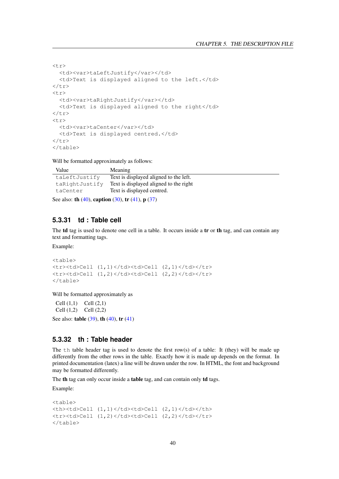```
<tr>
  <td><var>taLeftJustify</var></td>
  <td>Text is displayed aligned to the left.</td>
\langle/tr>
<tr>
  <td><var>taRightJustify</var></td>
  <td>Text is displayed aligned to the right</td>
\langletr>
<tr>
  <td><var>taCenter</var></td>
  <td>Text is displayed centred.</td>
\langletr>
</table>
```
Will be formatted approximately as follows:

| Value          | Meaning                                |
|----------------|----------------------------------------|
| taLeftJustify  | Text is displayed aligned to the left. |
| taRightJustify | Text is displayed aligned to the right |
| taCenter       | Text is displayed centred.             |
|                |                                        |

See also: th  $(40)$ , caption  $(30)$ , tr  $(41)$ , p  $(37)$ 

# <span id="page-40-0"></span>**5.3.31 td : Table cell**

The **td** tag is used to denote one cell in a table. It occurs inside a **tr** or **th** tag, and can contain any text and formatting tags.

Example:

```
<table>
<tr><td>Cell (1,1)</td><td>Cell (2,1)</td></tr>
<tr><td>Cell (1,2)</td><td>Cell (2,2)</td></tr>
</table>
```
Will be formatted approximately as

Cell (1,1) Cell (2,1) Cell (1,2) Cell (2,2)

See also: **table**  $(39)$ , **th**  $(40)$ , **tr**  $(41)$ 

# <span id="page-40-1"></span>**5.3.32 th : Table header**

The th table header tag is used to denote the first row(s) of a table: It (they) will be made up differently from the other rows in the table. Exactly how it is made up depends on the format. In printed documentation (latex) a line will be drawn under the row. In HTML, the font and background may be formatted differently.

The th tag can only occur inside a table tag, and can contain only td tags.

Example:

```
<table>
<th><td>Cell (1,1)</td><td>Cell (2,1)</td></th>
<tr>>td>Cell (1,2)</td><td>Cell (2,2)</td></tr>
</table>
```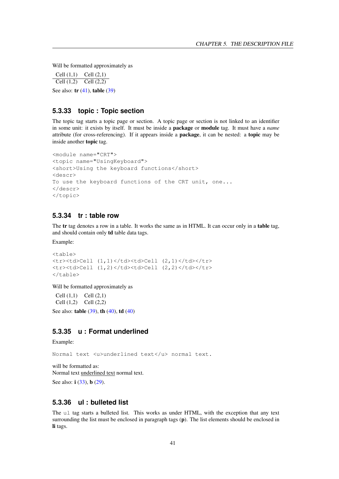Will be formatted approximately as

Cell (1,1) Cell (2,1) Cell  $(1,2)$  Cell  $(2,2)$ See also: **tr** [\(41\)](#page-41-1), **table** [\(39\)](#page-39-2)

# <span id="page-41-0"></span>**5.3.33 topic : Topic section**

The topic tag starts a topic page or section. A topic page or section is not linked to an identifier in some unit: it exists by itself. It must be inside a package or module tag. It must have a *name* attribute (for cross-referencing). If it appears inside a package, it can be nested: a topic may be inside another topic tag.

```
<module name="CRT">
<topic name="UsingKeyboard">
<short>Using the keyboard functions</short>
<descr>
To use the keyboard functions of the CRT unit, one...
</descr>
</topic>
```
# <span id="page-41-1"></span>**5.3.34 tr : table row**

The **tr** tag denotes a row in a table. It works the same as in HTML. It can occur only in a **table** tag, and should contain only td table data tags.

Example:

```
<table>
<tr>>td>Cell (1,1)</td><td>Cell (2,1)</td></tr>
<tr><td>Cell (1,2)</td><td>Cell (2,2)</td></tr>
</table>
```
Will be formatted approximately as

Cell  $(1,1)$  Cell  $(2,1)$ Cell (1,2) Cell (2,2)

See also: **table** [\(39\)](#page-39-2), **th** [\(40\)](#page-40-0), **td** (40)

# <span id="page-41-2"></span>**5.3.35 u : Format underlined**

Example:

Normal text <u>underlined text</u> normal text.

will be formatted as: Normal text underlined text normal text. See also: **i** [\(33\)](#page-33-4), **b** [\(29\)](#page-29-0).

# <span id="page-41-3"></span>**5.3.36 ul : bulleted list**

The ul tag starts a bulleted list. This works as under HTML, with the exception that any text surrounding the list must be enclosed in paragraph tags (p). The list elements should be enclosed in li tags.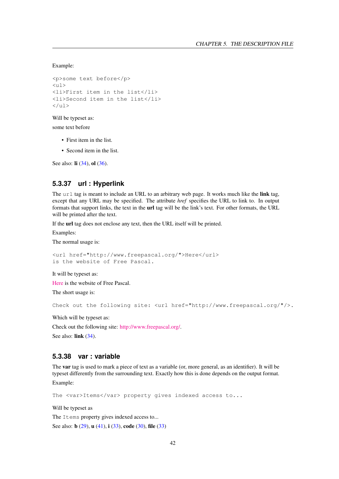Example:

```
<p>some text before</p>
\langle 111 \rangle<li>First item in the list</li>
<li>Second item in the list</li>
\langleul>
```
Will be typeset as:

some text before

- First item in the list.
- Second item in the list.

See also: **li** [\(34\)](#page-34-1), **ol** [\(36\)](#page-36-1).

# <span id="page-42-0"></span>**5.3.37 url : Hyperlink**

The url tag is meant to include an URL to an arbitrary web page. It works much like the link tag, except that any URL may be specified. The attribute *href* specifies the URL to link to. In output formats that support links, the text in the url tag will be the link's text. For other formats, the URL will be printed after the text.

If the url tag does not enclose any text, then the URL itself will be printed.

Examples:

The normal usage is:

```
<url href="http://www.freepascal.org/">Here</url>
is the website of Free Pascal.
```
It will be typeset as:

[Here](http://www.freepascal.org/) is the website of Free Pascal.

The short usage is:

Check out the following site: <url href="http://www.freepascal.org/"/>.

Which will be typeset as:

Check out the following site: [http://www.freepascal.org/.](http://www.freepascal.org/) See also: link [\(34\)](#page-34-2).

#### <span id="page-42-1"></span>**5.3.38 var : variable**

The var tag is used to mark a piece of text as a variable (or, more general, as an identifier). It will be typeset differently from the surrounding text. Exactly how this is done depends on the output format. Example:

The <var>Items</var> property gives indexed access to...

Will be typeset as

The Items property gives indexed access to...

See also: **b** [\(29\)](#page-29-0), **u** [\(41\)](#page-41-2), **i** [\(33\)](#page-33-2), **code** [\(30\)](#page-30-2), **file** (33)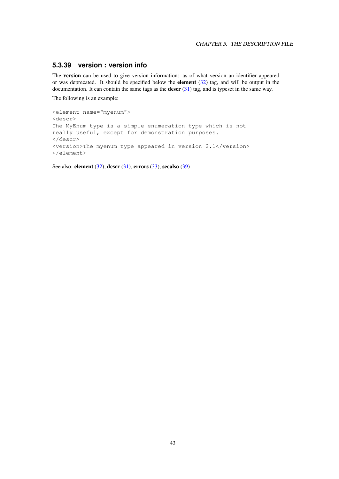# <span id="page-43-0"></span>**5.3.39 version : version info**

The version can be used to give version information: as of what version an identifier appeared or was deprecated. It should be specified below the **element**  $(32)$  tag, and will be output in the documentation. It can contain the same tags as the descr [\(31\)](#page-31-0) tag, and is typeset in the same way.

The following is an example:

```
<element name="myenum">
<descr>
The MyEnum type is a simple enumeration type which is not
really useful, except for demonstration purposes.
</descr>
<version>The myenum type appeared in version 2.1</version>
</element>
```
See also: **element** [\(32\)](#page-32-1), **descr** [\(31\)](#page-31-0), **errors** [\(33\)](#page-33-0), **seealso** [\(39\)](#page-39-0)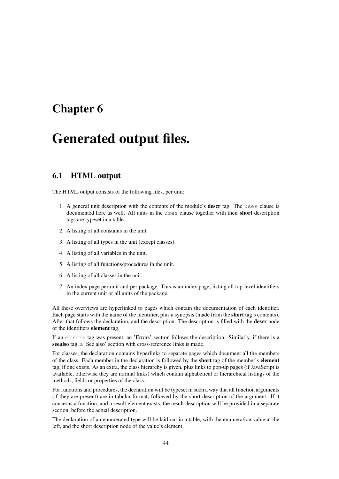# <span id="page-44-0"></span>Chapter 6

# Generated output files.

# <span id="page-44-1"></span>6.1 HTML output

The HTML output consists of the following files, per unit:

- 1. A general unit description with the contents of the module's descr tag. The uses clause is documented here as well. All units in the uses clause together with their short description tags are typeset in a table.
- 2. A listing of all constants in the unit.
- 3. A listing of all types in the unit (except classes).
- 4. A listing of all variables in the unit.
- 5. A listing of all functions/procedures in the unit.
- 6. A listing of all classes in the unit.
- 7. An index page per unit and per package. This is an index page, listing all top-level identifiers in the current unit or all units of the package.

All these overviews are hyperlinked to pages which contain the documentation of each identifier. Each page starts with the name of the identifier, plus a synopsis (made from the short tag's contents). After that follows the declaration, and the description. The description is filled with the descr node of the identifiers element tag.

If an errors tag was present, an 'Errors' section follows the description. Similarly, if there is a seealso tag, a 'See also' section with cross-reference links is made.

For classes, the declaration contains hyperlinks to separate pages which document all the members of the class. Each member in the declaration is followed by the short tag of the member's element tag, if one exists. As an extra, the class hierarchy is given, plus links to pop-up pages (if JavaScript is available, otherwise they are normal links) which contain alphabetical or hierarchical listings of the methods, fields or properties of the class.

For functions and procedures, the declaration will be typeset in such a way that all function arguments (if they are present) are in tabular format, followed by the short description of the argument. If it concerns a function, and a result element exists, the result description will be provided in a separate section, before the actual description.

The declaration of an enumerated type will be laid out in a table, with the enumeration value at the left, and the short description node of the value's element.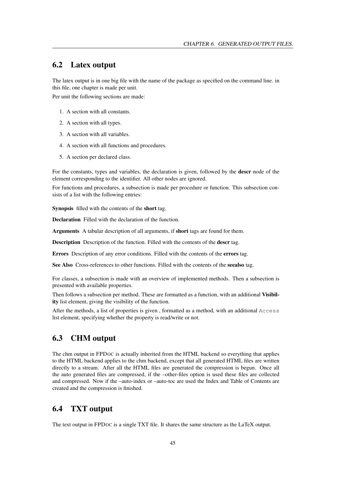# <span id="page-45-0"></span>6.2 Latex output

The latex output is in one big file with the name of the package as specified on the command line. in this file, one chapter is made per unit.

Per unit the following sections are made:

- 1. A section with all constants.
- 2. A section with all types.
- 3. A section with all variables.
- 4. A section with all functions and procedures.
- 5. A section per declared class.

For the constants, types and variables, the declaration is given, followed by the descr node of the element corresponding to the identifier. All other nodes are ignored.

For functions and procedures, a subsection is made per procedure or function. This subsection consists of a list with the following entries:

Synopsis filled with the contents of the short tag.

Declaration Filled with the declaration of the function.

Arguments A tabular description of all arguments, if short tags are found for them.

Description Description of the function. Filled with the contents of the descr tag.

Errors Description of any error conditions. Filled with the contents of the errors tag.

See Also Cross-references to other functions. Filled with the contents of the seealso tag.

For classes, a subsection is made with an overview of implemented methods. Then a subsection is presented with available properties.

Then follows a subsection per method. These are formatted as a function, with an additional Visibility list element, giving the visibility of the function.

After the methods, a list of properties is given , formatted as a method, with an additional Access list element, specifying whether the property is read/write or not.

# <span id="page-45-1"></span>6.3 CHM output

The chm output in FPDOC is actually inherited from the HTML backend so everything that applies to the HTML backend applies to the chm backend, except that all generated HTML files are written directly to a stream. After all the HTML files are generated the compression is begun. Once all the auto generated files are compressed, if the –other-files option is used these files are collected and compressed. Now if the –auto-index or –auto-toc are used the Index and Table of Contents are created and the compression is finished.

# <span id="page-45-2"></span>6.4 TXT output

The text output in FPDOC is a single TXT file. It shares the same structure as the LaTeX output.